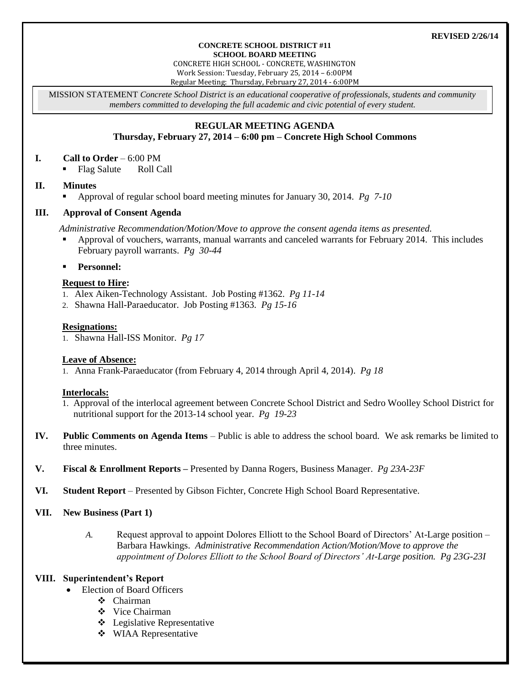#### **REVISED 2/26/14**

#### **CONCRETE SCHOOL DISTRICT #11 SCHOOL BOARD MEETING**

CONCRETE HIGH SCHOOL - CONCRETE, WASHINGTON Work Session: Tuesday, February 25, 2014 – 6:00PM Regular Meeting: Thursday, February 27, 2014 - 6:00PM

MISSION STATEMENT *Concrete School District is an educational cooperative of professionals, students and community members committed to developing the full academic and civic potential of every student.*

# **REGULAR MEETING AGENDA**

# **Thursday, February 27, 2014 – 6:00 pm – Concrete High School Commons**

#### **I. Call to Order** – 6:00 PM

• Flag Salute Roll Call

#### **II. Minutes**

Approval of regular school board meeting minutes for January 30, 2014. *Pg 7-10*

# **III. Approval of Consent Agenda**

*Administrative Recommendation/Motion/Move to approve the consent agenda items as presented.*

- Approval of vouchers, warrants, manual warrants and canceled warrants for February 2014. This includes February payroll warrants. *Pg 30-44*
- **Personnel:**

# **Request to Hire:**

- 1. Alex Aiken-Technology Assistant. Job Posting #1362. *Pg 11-14*
- 2. Shawna Hall-Paraeducator. Job Posting #1363. *Pg 15-16*

#### **Resignations:**

1. Shawna Hall-ISS Monitor. *Pg 17*

# **Leave of Absence:**

1. Anna Frank-Paraeducator (from February 4, 2014 through April 4, 2014). *Pg 18*

# **Interlocals:**

- 1. Approval of the interlocal agreement between Concrete School District and Sedro Woolley School District for nutritional support for the 2013-14 school year. *Pg 19-23*
- **IV. Public Comments on Agenda Items** Public is able to address the school board. We ask remarks be limited to three minutes.
- **V. Fiscal & Enrollment Reports –** Presented by Danna Rogers, Business Manager. *Pg 23A-23F*
- **VI. Student Report** Presented by Gibson Fichter, Concrete High School Board Representative.
- **VII. New Business (Part 1)**
	- *A.* Request approval to appoint Dolores Elliott to the School Board of Directors' At-Large position Barbara Hawkings. *Administrative Recommendation Action/Motion/Move to approve the appointment of Dolores Elliott to the School Board of Directors' At-Large position. Pg 23G-23I*

# **VIII. Superintendent's Report**

- Election of Board Officers
	- Chairman
	- ❖ Vice Chairman
	- Legislative Representative
	- **❖** WIAA Representative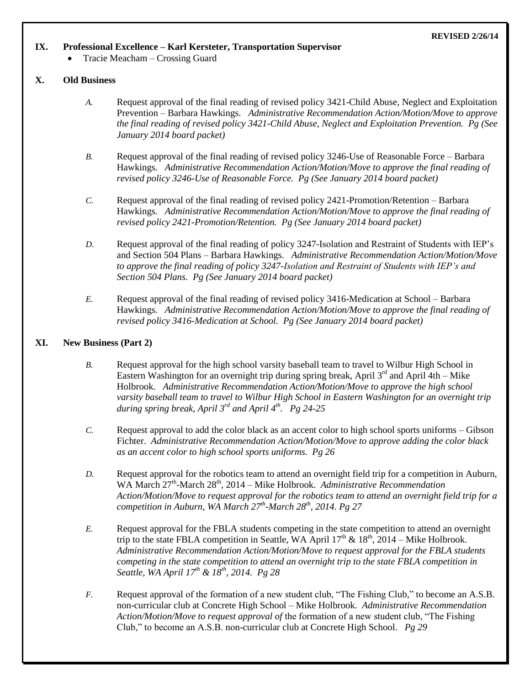#### **REVISED 2/26/14**

# **IX. Professional Excellence – Karl Kersteter, Transportation Supervisor**

Tracie Meacham – Crossing Guard

# **X. Old Business**

- *A.* Request approval of the final reading of revised policy 3421-Child Abuse, Neglect and Exploitation Prevention – Barbara Hawkings. *Administrative Recommendation Action/Motion/Move to approve the final reading of revised policy 3421-Child Abuse, Neglect and Exploitation Prevention. Pg (See January 2014 board packet)*
- *B.* Request approval of the final reading of revised policy 3246-Use of Reasonable Force Barbara Hawkings. *Administrative Recommendation Action/Motion/Move to approve the final reading of revised policy 3246-Use of Reasonable Force. Pg (See January 2014 board packet)*
- *C.* Request approval of the final reading of revised policy 2421-Promotion/Retention Barbara Hawkings. *Administrative Recommendation Action/Motion/Move to approve the final reading of revised policy 2421-Promotion/Retention. Pg (See January 2014 board packet)*
- *D.* Request approval of the final reading of policy 3247-Isolation and Restraint of Students with IEP's and Section 504 Plans – Barbara Hawkings. *Administrative Recommendation Action/Motion/Move to approve the final reading of policy 3247-Isolation and Restraint of Students with IEP's and Section 504 Plans. Pg (See January 2014 board packet)*
- *E.* Request approval of the final reading of revised policy 3416-Medication at School Barbara Hawkings. *Administrative Recommendation Action/Motion/Move to approve the final reading of revised policy 3416-Medication at School. Pg (See January 2014 board packet)*

# **XI. New Business (Part 2)**

- *B.* Request approval for the high school varsity baseball team to travel to Wilbur High School in Eastern Washington for an overnight trip during spring break, April  $3<sup>rd</sup>$  and April 4th – Mike Holbrook. *Administrative Recommendation Action/Motion/Move to approve the high school varsity baseball team to travel to Wilbur High School in Eastern Washington for an overnight trip during spring break, April 3rd and April 4th . Pg 24-25*
- *C.* Request approval to add the color black as an accent color to high school sports uniforms Gibson Fichter. *Administrative Recommendation Action/Motion/Move to approve adding the color black as an accent color to high school sports uniforms. Pg 26*
- *D.* Request approval for the robotics team to attend an overnight field trip for a competition in Auburn, WA March 27<sup>th</sup>-March 28<sup>th</sup>, 2014 – Mike Holbrook. *Administrative Recommendation Action/Motion/Move to request approval for the robotics team to attend an overnight field trip for a competition in Auburn, WA March 27th -March 28th, 2014. Pg 27*
- *E.* Request approval for the FBLA students competing in the state competition to attend an overnight trip to the state FBLA competition in Seattle, WA April  $17<sup>th</sup>$  &  $18<sup>th</sup>$ , 2014 – Mike Holbrook. *Administrative Recommendation Action/Motion/Move to request approval for the FBLA students competing in the state competition to attend an overnight trip to the state FBLA competition in Seattle, WA April 17th & 18th, 2014. Pg 28*
- *F.* Request approval of the formation of a new student club, "The Fishing Club," to become an A.S.B. non-curricular club at Concrete High School – Mike Holbrook. *Administrative Recommendation Action/Motion/Move to request approval of* the formation of a new student club, "The Fishing Club," to become an A.S.B. non-curricular club at Concrete High School. *Pg 29*